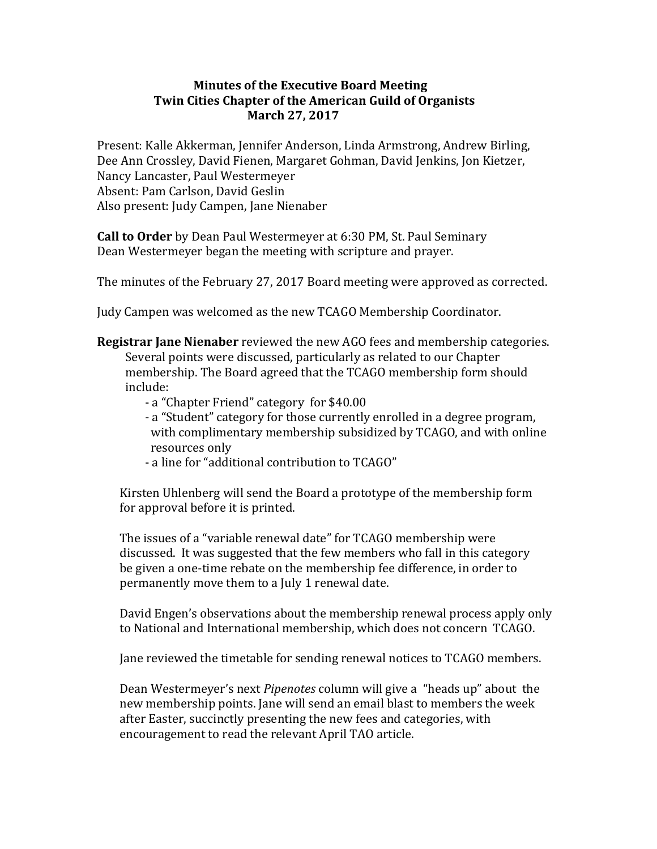## **Minutes of the Executive Board Meeting Twin Cities Chapter of the American Guild of Organists March 27, 2017**

Present: Kalle Akkerman, Jennifer Anderson, Linda Armstrong, Andrew Birling, Dee Ann Crossley, David Fienen, Margaret Gohman, David Jenkins, Jon Kietzer, Nancy Lancaster, Paul Westermeyer Absent: Pam Carlson, David Geslin Also present: Judy Campen, Jane Nienaber

**Call to Order** by Dean Paul Westermeyer at 6:30 PM, St. Paul Seminary Dean Westermeyer began the meeting with scripture and prayer.

The minutes of the February 27, 2017 Board meeting were approved as corrected.

Judy Campen was welcomed as the new TCAGO Membership Coordinator.

- **Registrar Jane Nienaber** reviewed the new AGO fees and membership categories. Several points were discussed, particularly as related to our Chapter membership. The Board agreed that the TCAGO membership form should include:
	- a "Chapter Friend" category for \$40.00
	- a "Student" category for those currently enrolled in a degree program, with complimentary membership subsidized by TCAGO, and with online resources only
	- a line for "additional contribution to TCAGO"

Kirsten Uhlenberg will send the Board a prototype of the membership form for approval before it is printed.

The issues of a "variable renewal date" for TCAGO membership were discussed. It was suggested that the few members who fall in this category be given a one-time rebate on the membership fee difference, in order to permanently move them to a July 1 renewal date.

David Engen's observations about the membership renewal process apply only to National and International membership, which does not concern TCAGO.

Jane reviewed the timetable for sending renewal notices to TCAGO members.

Dean Westermeyer's next *Pipenotes* column will give a "heads up" about the new membership points. Jane will send an email blast to members the week after Easter, succinctly presenting the new fees and categories, with encouragement to read the relevant April TAO article.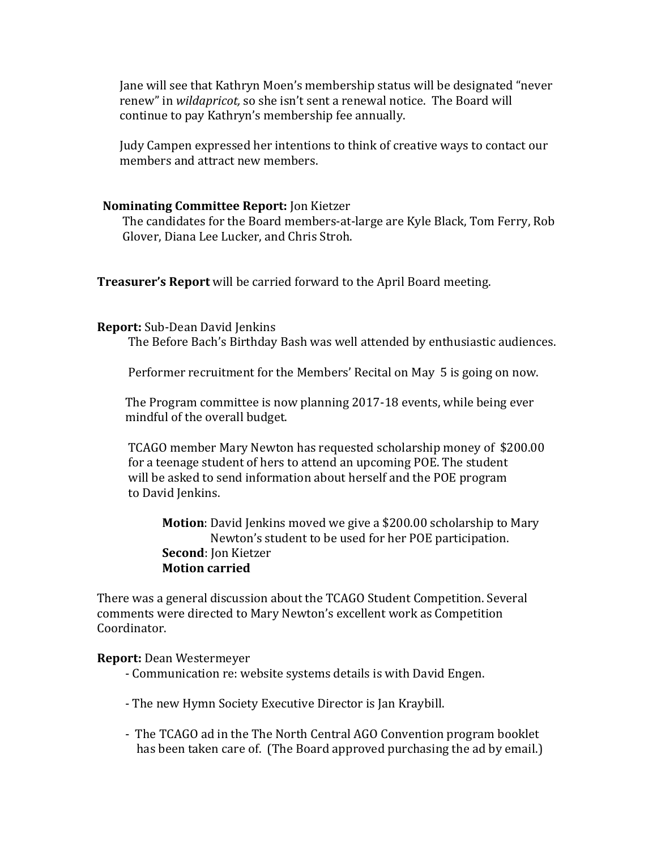Jane will see that Kathryn Moen's membership status will be designated "never" renew" in *wildapricot*, so she isn't sent a renewal notice. The Board will continue to pay Kathryn's membership fee annually.

Judy Campen expressed her intentions to think of creative ways to contact our members and attract new members.

## **Nominating Committee Report: Jon Kietzer**

The candidates for the Board members-at-large are Kyle Black, Tom Ferry, Rob Glover, Diana Lee Lucker, and Chris Stroh.

**Treasurer's Report** will be carried forward to the April Board meeting.

## **Report:** Sub-Dean David Jenkins

The Before Bach's Birthday Bash was well attended by enthusiastic audiences.

Performer recruitment for the Members' Recital on May 5 is going on now.

The Program committee is now planning 2017-18 events, while being ever mindful of the overall budget.

TCAGO member Mary Newton has requested scholarship money of \$200.00 for a teenage student of hers to attend an upcoming POE. The student will be asked to send information about herself and the POE program to David Jenkins.

**Motion**: David Jenkins moved we give a \$200.00 scholarship to Mary Newton's student to be used for her POE participation. **Second:** Ion Kietzer **Motion carried**

There was a general discussion about the TCAGO Student Competition. Several comments were directed to Mary Newton's excellent work as Competition Coordinator.

## **Report:** Dean Westermeyer

- Communication re: website systems details is with David Engen.
- The new Hymn Society Executive Director is Jan Kraybill.
- The TCAGO ad in the The North Central AGO Convention program booklet has been taken care of. (The Board approved purchasing the ad by email.)